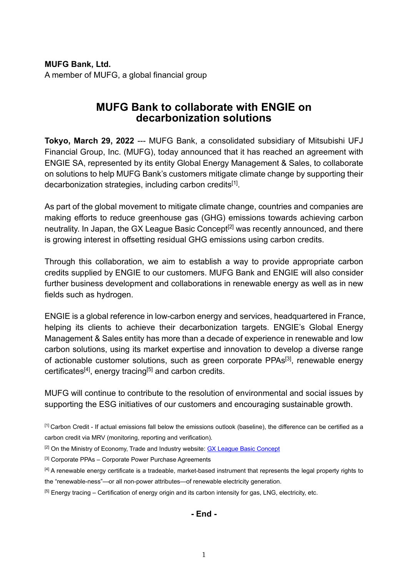**MUFG Bank, Ltd.** A member of MUFG, a global financial group

## **MUFG Bank to collaborate with ENGIE on decarbonization solutions**

**Tokyo, March 29, 2022** --- MUFG Bank, a consolidated subsidiary of Mitsubishi UFJ Financial Group, Inc. (MUFG), today announced that it has reached an agreement with ENGIE SA, represented by its entity Global Energy Management & Sales, to collaborate on solutions to help MUFG Bank's customers mitigate climate change by supporting their decarbonization strategies, including carbon credits<sup>[1]</sup>.

As part of the global movement to mitigate climate change, countries and companies are making efforts to reduce greenhouse gas (GHG) emissions towards achieving carbon neutrality. In Japan, the GX League Basic Concept<sup>[2]</sup> was recently announced, and there is growing interest in offsetting residual GHG emissions using carbon credits.

Through this collaboration, we aim to establish a way to provide appropriate carbon credits supplied by ENGIE to our customers. MUFG Bank and ENGIE will also consider further business development and collaborations in renewable energy as well as in new fields such as hydrogen.

ENGIE is a global reference in low-carbon energy and services, headquartered in France, helping its clients to achieve their decarbonization targets. ENGIE's Global Energy Management & Sales entity has more than a decade of experience in renewable and low carbon solutions, using its market expertise and innovation to develop a diverse range of actionable customer solutions, such as green corporate PPAs<sup>[3]</sup>, renewable energy certificates<sup>[4]</sup>, energy tracing<sup>[5]</sup> and carbon credits.

MUFG will continue to contribute to the resolution of environmental and social issues by supporting the ESG initiatives of our customers and encouraging sustainable growth.

[1] Carbon Credit - If actual emissions fall below the emissions outlook (baseline), the difference can be certified as a carbon credit via MRV (monitoring, reporting and verification).

<sup>[2]</sup> On the Ministry of Economy, Trade and Industry website: [GX League Basic Concept](https://www.meti.go.jp/english/press/2022/0201_001.html)

[3] Corporate PPAs - Corporate Power Purchase Agreements

[4] A renewable energy certificate is a tradeable, market-based instrument that represents the legal property rights to the "renewable-ness"—or all non-power attributes—of renewable electricity generation.

[5] Energy tracing – Certification of energy origin and its carbon intensity for gas, LNG, electricity, etc.

**- End -**